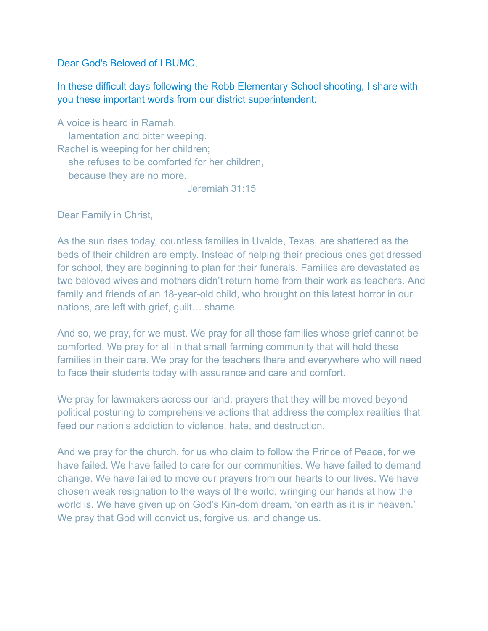Dear God's Beloved of LBUMC,

## In these difficult days following the Robb Elementary School shooting, I share with you these important words from our district superintendent:

A voice is heard in Ramah, lamentation and bitter weeping. Rachel is weeping for her children; she refuses to be comforted for her children, because they are no more.

Jeremiah 31:15

Dear Family in Christ,

As the sun rises today, countless families in Uvalde, Texas, are shattered as the beds of their children are empty. Instead of helping their precious ones get dressed for school, they are beginning to plan for their funerals. Families are devastated as two beloved wives and mothers didn't return home from their work as teachers. And family and friends of an 18-year-old child, who brought on this latest horror in our nations, are left with grief, guilt… shame.

And so, we pray, for we must. We pray for all those families whose grief cannot be comforted. We pray for all in that small farming community that will hold these families in their care. We pray for the teachers there and everywhere who will need to face their students today with assurance and care and comfort.

We pray for lawmakers across our land, prayers that they will be moved beyond political posturing to comprehensive actions that address the complex realities that feed our nation's addiction to violence, hate, and destruction.

And we pray for the church, for us who claim to follow the Prince of Peace, for we have failed. We have failed to care for our communities. We have failed to demand change. We have failed to move our prayers from our hearts to our lives. We have chosen weak resignation to the ways of the world, wringing our hands at how the world is. We have given up on God's Kin-dom dream, 'on earth as it is in heaven.' We pray that God will convict us, forgive us, and change us.